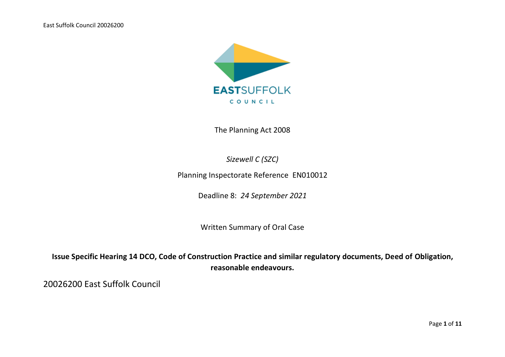East Suffolk Council 20026200



The Planning Act 2008

*Sizewell C (SZC)*

Planning Inspectorate Reference EN010012

Deadline 8: *24 September 2021*

Written Summary of Oral Case

**Issue Specific Hearing 14 DCO, Code of Construction Practice and similar regulatory documents, Deed of Obligation, reasonable endeavours.**

20026200 East Suffolk Council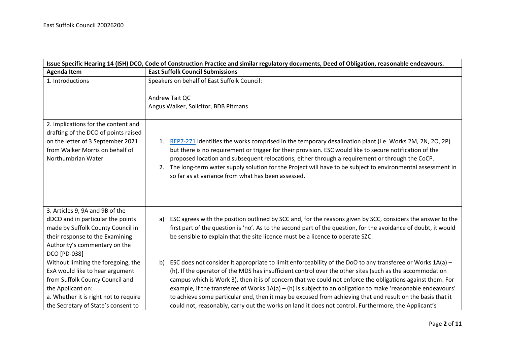| Issue Specific Hearing 14 (ISH) DCO, Code of Construction Practice and similar regulatory documents, Deed of Obligation, reasonable endeavours.                                                                |                                                                                                                                                                                                                                                                                                                                                                                                                                                                                                                                                                                                                                                                                   |  |
|----------------------------------------------------------------------------------------------------------------------------------------------------------------------------------------------------------------|-----------------------------------------------------------------------------------------------------------------------------------------------------------------------------------------------------------------------------------------------------------------------------------------------------------------------------------------------------------------------------------------------------------------------------------------------------------------------------------------------------------------------------------------------------------------------------------------------------------------------------------------------------------------------------------|--|
| <b>Agenda Item</b>                                                                                                                                                                                             | <b>East Suffolk Council Submissions</b>                                                                                                                                                                                                                                                                                                                                                                                                                                                                                                                                                                                                                                           |  |
| 1. Introductions                                                                                                                                                                                               | Speakers on behalf of East Suffolk Council:<br>Andrew Tait QC                                                                                                                                                                                                                                                                                                                                                                                                                                                                                                                                                                                                                     |  |
|                                                                                                                                                                                                                | Angus Walker, Solicitor, BDB Pitmans                                                                                                                                                                                                                                                                                                                                                                                                                                                                                                                                                                                                                                              |  |
| 2. Implications for the content and<br>drafting of the DCO of points raised<br>on the letter of 3 September 2021<br>from Walker Morris on behalf of<br>Northumbrian Water                                      | REP7-271 identifies the works comprised in the temporary desalination plant (i.e. Works 2M, 2N, 2O, 2P)<br>1.<br>but there is no requirement or trigger for their provision. ESC would like to secure notification of the<br>proposed location and subsequent relocations, either through a requirement or through the CoCP.<br>The long-term water supply solution for the Project will have to be subject to environmental assessment in<br>2.<br>so far as at variance from what has been assessed.                                                                                                                                                                            |  |
| 3. Articles 9, 9A and 9B of the<br>dDCO and in particular the points<br>made by Suffolk County Council in<br>their response to the Examining<br>Authority's commentary on the<br>DCO [PD-038]                  | ESC agrees with the position outlined by SCC and, for the reasons given by SCC, considers the answer to the<br>a)<br>first part of the question is 'no'. As to the second part of the question, for the avoidance of doubt, it would<br>be sensible to explain that the site licence must be a licence to operate SZC.                                                                                                                                                                                                                                                                                                                                                            |  |
| Without limiting the foregoing, the<br>ExA would like to hear argument<br>from Suffolk County Council and<br>the Applicant on:<br>a. Whether it is right not to require<br>the Secretary of State's consent to | ESC does not consider It appropriate to limit enforceability of the DoO to any transferee or Works 1A(a) -<br>b)<br>(h). If the operator of the MDS has insufficient control over the other sites (such as the accommodation<br>campus which is Work 3), then it is of concern that we could not enforce the obligations against them. For<br>example, if the transferee of Works $1A(a) - (h)$ is subject to an obligation to make 'reasonable endeavours'<br>to achieve some particular end, then it may be excused from achieving that end result on the basis that it<br>could not, reasonably, carry out the works on land it does not control. Furthermore, the Applicant's |  |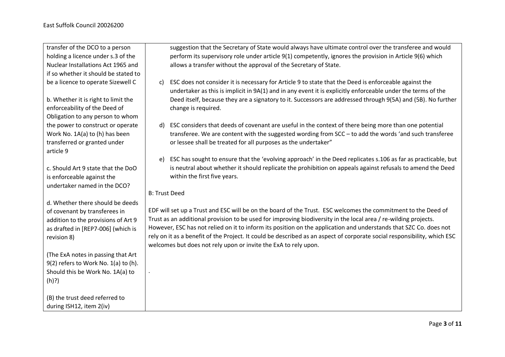transfer of the DCO to a person holding a licence under s.3 of the Nuclear Installations Act 1965 and if so whether it should be stated to be a licence to operate Sizewell C

b. Whether it is right to limit the enforceability of the Deed of Obligation to any person to whom the power to construct or operate Work No. 1A(a) to (h) has been transferred or granted under article 9

c. Should Art 9 state that the DoO is enforceable against the undertaker named in the DCO?

d. Whether there should be deeds of covenant by transferees in addition to the provisions of Art 9 as drafted in [REP7-006] (which is revision 8)

(The ExA notes in passing that Art 9(2) refers to Work No. 1(a) to (h). Should this be Work No. 1A(a) to (h)?)

(B) the trust deed referred to during ISH12, item 2(iv)

suggestion that the Secretary of State would always have ultimate control over the transferee and would perform its supervisory role under article 9(1) competently, ignores the provision in Article 9(6) which allows a transfer without the approval of the Secretary of State.

- c) ESC does not consider it is necessary for Article 9 to state that the Deed is enforceable against the undertaker as this is implicit in 9A(1) and in any event it is explicitly enforceable under the terms of the Deed itself, because they are a signatory to it. Successors are addressed through 9(5A) and (5B). No further change is required.
- d) ESC considers that deeds of covenant are useful in the context of there being more than one potential transferee. We are content with the suggested wording from SCC – to add the words 'and such transferee or lessee shall be treated for all purposes as the undertaker"
- e) ESC has sought to ensure that the 'evolving approach' in the Deed replicates s.106 as far as practicable, but is neutral about whether it should replicate the prohibition on appeals against refusals to amend the Deed within the first five years.

## B: Trust Deed

.

EDF will set up a Trust and ESC will be on the board of the Trust. ESC welcomes the commitment to the Deed of Trust as an additional provision to be used for improving biodiversity in the local area / re-wilding projects. However, ESC has not relied on it to inform its position on the application and understands that SZC Co. does not rely on it as a benefit of the Project. It could be described as an aspect of corporate social responsibility, which ESC welcomes but does not rely upon or invite the ExA to rely upon.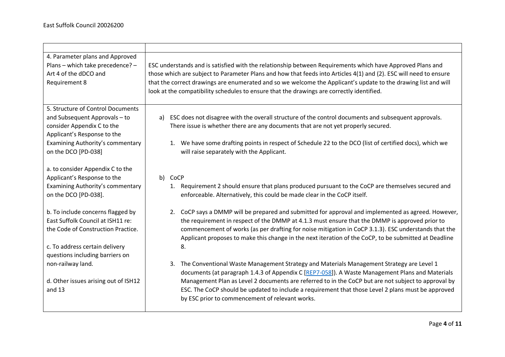| 4. Parameter plans and Approved<br>Plans - which take precedence? -<br>Art 4 of the dDCO and<br>Requirement 8                                                                     | ESC understands and is satisfied with the relationship between Requirements which have Approved Plans and<br>those which are subject to Parameter Plans and how that feeds into Articles 4(1) and (2). ESC will need to ensure<br>that the correct drawings are enumerated and so we welcome the Applicant's update to the drawing list and will<br>look at the compatibility schedules to ensure that the drawings are correctly identified.                     |  |
|-----------------------------------------------------------------------------------------------------------------------------------------------------------------------------------|-------------------------------------------------------------------------------------------------------------------------------------------------------------------------------------------------------------------------------------------------------------------------------------------------------------------------------------------------------------------------------------------------------------------------------------------------------------------|--|
| 5. Structure of Control Documents                                                                                                                                                 |                                                                                                                                                                                                                                                                                                                                                                                                                                                                   |  |
| and Subsequent Approvals - to<br>consider Appendix C to the<br>Applicant's Response to the                                                                                        | ESC does not disagree with the overall structure of the control documents and subsequent approvals.<br>a)<br>There issue is whether there are any documents that are not yet properly secured.                                                                                                                                                                                                                                                                    |  |
| Examining Authority's commentary<br>on the DCO [PD-038]                                                                                                                           | 1. We have some drafting points in respect of Schedule 22 to the DCO (list of certified docs), which we<br>will raise separately with the Applicant.                                                                                                                                                                                                                                                                                                              |  |
| a. to consider Appendix C to the<br>Applicant's Response to the<br>Examining Authority's commentary<br>on the DCO [PD-038].                                                       | b) CoCP<br>1. Requirement 2 should ensure that plans produced pursuant to the CoCP are themselves secured and<br>enforceable. Alternatively, this could be made clear in the CoCP itself.                                                                                                                                                                                                                                                                         |  |
| b. To include concerns flagged by<br>East Suffolk Council at ISH11 re:<br>the Code of Construction Practice.<br>c. To address certain delivery<br>questions including barriers on | CoCP says a DMMP will be prepared and submitted for approval and implemented as agreed. However,<br>2.<br>the requirement in respect of the DMMP at 4.1.3 must ensure that the DMMP is approved prior to<br>commencement of works (as per drafting for noise mitigation in CoCP 3.1.3). ESC understands that the<br>Applicant proposes to make this change in the next iteration of the CoCP, to be submitted at Deadline<br>8.                                   |  |
| non-railway land.<br>d. Other issues arising out of ISH12<br>and 13                                                                                                               | The Conventional Waste Management Strategy and Materials Management Strategy are Level 1<br>3.<br>documents (at paragraph 1.4.3 of Appendix C [REP7-058]). A Waste Management Plans and Materials<br>Management Plan as Level 2 documents are referred to in the CoCP but are not subject to approval by<br>ESC. The CoCP should be updated to include a requirement that those Level 2 plans must be approved<br>by ESC prior to commencement of relevant works. |  |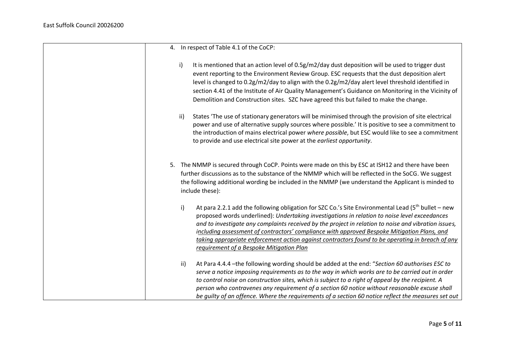| 4. In respect of Table 4.1 of the CoCP:                                                                                                                                                                                                                                                                                                                                                                                                                                                                                                                             |
|---------------------------------------------------------------------------------------------------------------------------------------------------------------------------------------------------------------------------------------------------------------------------------------------------------------------------------------------------------------------------------------------------------------------------------------------------------------------------------------------------------------------------------------------------------------------|
| i)<br>It is mentioned that an action level of 0.5g/m2/day dust deposition will be used to trigger dust<br>event reporting to the Environment Review Group. ESC requests that the dust deposition alert<br>level is changed to 0.2g/m2/day to align with the 0.2g/m2/day alert level threshold identified in<br>section 4.41 of the Institute of Air Quality Management's Guidance on Monitoring in the Vicinity of<br>Demolition and Construction sites. SZC have agreed this but failed to make the change.                                                        |
| States 'The use of stationary generators will be minimised through the provision of site electrical<br>ii)<br>power and use of alternative supply sources where possible.' It is positive to see a commitment to<br>the introduction of mains electrical power where possible, but ESC would like to see a commitment<br>to provide and use electrical site power at the earliest opportunity.                                                                                                                                                                      |
| 5. The NMMP is secured through CoCP. Points were made on this by ESC at ISH12 and there have been<br>further discussions as to the substance of the NMMP which will be reflected in the SoCG. We suggest<br>the following additional wording be included in the NMMP (we understand the Applicant is minded to<br>include these):                                                                                                                                                                                                                                   |
| At para 2.2.1 add the following obligation for SZC Co.'s Site Environmental Lead ( $5th$ bullet – new<br>i)<br>proposed words underlined): Undertaking investigations in relation to noise level exceedances<br>and to investigate any complaints received by the project in relation to noise and vibration issues,<br>including assessment of contractors' compliance with approved Bespoke Mitigation Plans, and<br>taking appropriate enforcement action against contractors found to be operating in breach of any<br>requirement of a Bespoke Mitigation Plan |
| At Para 4.4.4 - the following wording should be added at the end: "Section 60 authorises ESC to<br>ii)<br>serve a notice imposing requirements as to the way in which works are to be carried out in order<br>to control noise on construction sites, which is subject to a right of appeal by the recipient. A<br>person who contravenes any requirement of a section 60 notice without reasonable excuse shall<br>be quilty of an offence. Where the requirements of a section 60 notice reflect the measures set out                                             |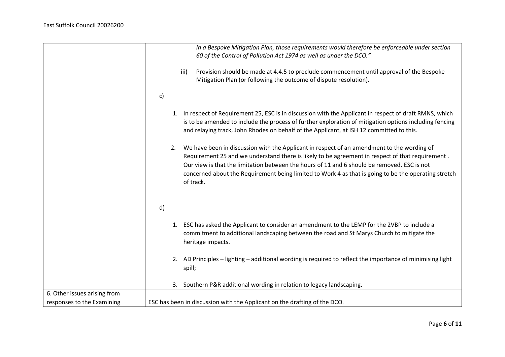|                                                            |              | in a Bespoke Mitigation Plan, those requirements would therefore be enforceable under section<br>60 of the Control of Pollution Act 1974 as well as under the DCO."                                                                                                                                                                                                                                                |
|------------------------------------------------------------|--------------|--------------------------------------------------------------------------------------------------------------------------------------------------------------------------------------------------------------------------------------------------------------------------------------------------------------------------------------------------------------------------------------------------------------------|
|                                                            |              | Provision should be made at 4.4.5 to preclude commencement until approval of the Bespoke<br>iii)<br>Mitigation Plan (or following the outcome of dispute resolution).                                                                                                                                                                                                                                              |
|                                                            | $\mathsf{c}$ |                                                                                                                                                                                                                                                                                                                                                                                                                    |
|                                                            |              | 1. In respect of Requirement 25, ESC is in discussion with the Applicant in respect of draft RMNS, which<br>is to be amended to include the process of further exploration of mitigation options including fencing<br>and relaying track, John Rhodes on behalf of the Applicant, at ISH 12 committed to this.                                                                                                     |
|                                                            | 2.           | We have been in discussion with the Applicant in respect of an amendment to the wording of<br>Requirement 25 and we understand there is likely to be agreement in respect of that requirement.<br>Our view is that the limitation between the hours of 11 and 6 should be removed. ESC is not<br>concerned about the Requirement being limited to Work 4 as that is going to be the operating stretch<br>of track. |
|                                                            | d)           |                                                                                                                                                                                                                                                                                                                                                                                                                    |
|                                                            |              | 1. ESC has asked the Applicant to consider an amendment to the LEMP for the 2VBP to include a<br>commitment to additional landscaping between the road and St Marys Church to mitigate the<br>heritage impacts.                                                                                                                                                                                                    |
|                                                            |              | 2. AD Principles - lighting - additional wording is required to reflect the importance of minimising light<br>spill;                                                                                                                                                                                                                                                                                               |
|                                                            |              | 3. Southern P&R additional wording in relation to legacy landscaping.                                                                                                                                                                                                                                                                                                                                              |
| 6. Other issues arising from<br>responses to the Examining |              | ESC has been in discussion with the Applicant on the drafting of the DCO.                                                                                                                                                                                                                                                                                                                                          |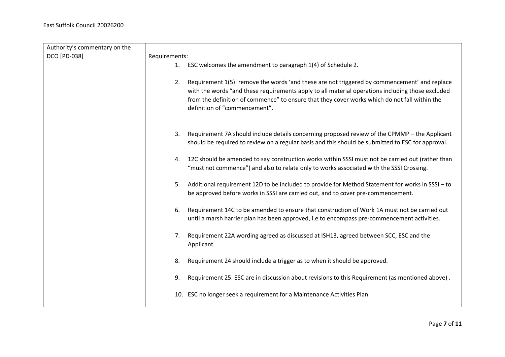| Authority's commentary on the |               |                                                                                                                                                                                                                                                                                                                                    |
|-------------------------------|---------------|------------------------------------------------------------------------------------------------------------------------------------------------------------------------------------------------------------------------------------------------------------------------------------------------------------------------------------|
| DCO [PD-038]                  | Requirements: |                                                                                                                                                                                                                                                                                                                                    |
|                               | 1.            | ESC welcomes the amendment to paragraph 1(4) of Schedule 2.                                                                                                                                                                                                                                                                        |
|                               |               |                                                                                                                                                                                                                                                                                                                                    |
|                               | 2.            | Requirement 1(5): remove the words 'and these are not triggered by commencement' and replace<br>with the words "and these requirements apply to all material operations including those excluded<br>from the definition of commence" to ensure that they cover works which do not fall within the<br>definition of "commencement". |
|                               | 3.            | Requirement 7A should include details concerning proposed review of the CPMMP - the Applicant<br>should be required to review on a regular basis and this should be submitted to ESC for approval.                                                                                                                                 |
|                               | 4.            | 12C should be amended to say construction works within SSSI must not be carried out (rather than<br>"must not commence") and also to relate only to works associated with the SSSI Crossing.                                                                                                                                       |
|                               | 5.            | Additional requirement 12D to be included to provide for Method Statement for works in SSSI - to<br>be approved before works in SSSI are carried out, and to cover pre-commencement.                                                                                                                                               |
|                               | 6.            | Requirement 14C to be amended to ensure that construction of Work 1A must not be carried out<br>until a marsh harrier plan has been approved, i.e to encompass pre-commencement activities.                                                                                                                                        |
|                               | 7.            | Requirement 22A wording agreed as discussed at ISH13, agreed between SCC, ESC and the<br>Applicant.                                                                                                                                                                                                                                |
|                               | 8.            | Requirement 24 should include a trigger as to when it should be approved.                                                                                                                                                                                                                                                          |
|                               | 9.            | Requirement 25: ESC are in discussion about revisions to this Requirement (as mentioned above).                                                                                                                                                                                                                                    |
|                               |               | 10. ESC no longer seek a requirement for a Maintenance Activities Plan.                                                                                                                                                                                                                                                            |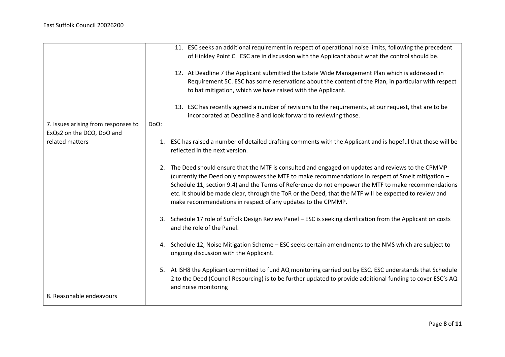|                                     |      | 11. ESC seeks an additional requirement in respect of operational noise limits, following the precedent<br>of Hinkley Point C. ESC are in discussion with the Applicant about what the control should be.<br>12. At Deadline 7 the Applicant submitted the Estate Wide Management Plan which is addressed in<br>Requirement 5C. ESC has some reservations about the content of the Plan, in particular with respect<br>to bat mitigation, which we have raised with the Applicant.<br>13. ESC has recently agreed a number of revisions to the requirements, at our request, that are to be<br>incorporated at Deadline 8 and look forward to reviewing those. |
|-------------------------------------|------|----------------------------------------------------------------------------------------------------------------------------------------------------------------------------------------------------------------------------------------------------------------------------------------------------------------------------------------------------------------------------------------------------------------------------------------------------------------------------------------------------------------------------------------------------------------------------------------------------------------------------------------------------------------|
| 7. Issues arising from responses to | DoO: |                                                                                                                                                                                                                                                                                                                                                                                                                                                                                                                                                                                                                                                                |
| ExQs2 on the DCO, DoO and           |      |                                                                                                                                                                                                                                                                                                                                                                                                                                                                                                                                                                                                                                                                |
| related matters                     |      | 1. ESC has raised a number of detailed drafting comments with the Applicant and is hopeful that those will be<br>reflected in the next version.                                                                                                                                                                                                                                                                                                                                                                                                                                                                                                                |
|                                     | 2.   | The Deed should ensure that the MTF is consulted and engaged on updates and reviews to the CPMMP<br>(currently the Deed only empowers the MTF to make recommendations in respect of Smelt mitigation -<br>Schedule 11, section 9.4) and the Terms of Reference do not empower the MTF to make recommendations<br>etc. It should be made clear, through the ToR or the Deed, that the MTF will be expected to review and<br>make recommendations in respect of any updates to the CPMMP.                                                                                                                                                                        |
|                                     |      | 3. Schedule 17 role of Suffolk Design Review Panel - ESC is seeking clarification from the Applicant on costs<br>and the role of the Panel.                                                                                                                                                                                                                                                                                                                                                                                                                                                                                                                    |
|                                     | 4.   | Schedule 12, Noise Mitigation Scheme - ESC seeks certain amendments to the NMS which are subject to<br>ongoing discussion with the Applicant.                                                                                                                                                                                                                                                                                                                                                                                                                                                                                                                  |
|                                     |      | 5. At ISH8 the Applicant committed to fund AQ monitoring carried out by ESC. ESC understands that Schedule<br>2 to the Deed (Council Resourcing) is to be further updated to provide additional funding to cover ESC's AQ<br>and noise monitoring                                                                                                                                                                                                                                                                                                                                                                                                              |
| 8. Reasonable endeavours            |      |                                                                                                                                                                                                                                                                                                                                                                                                                                                                                                                                                                                                                                                                |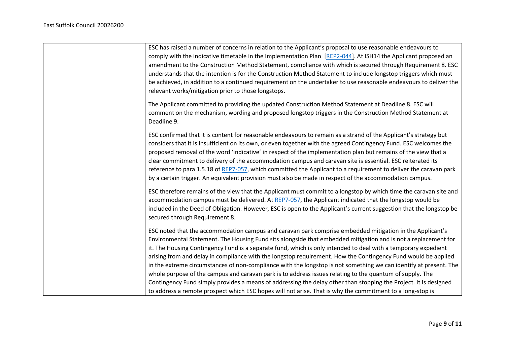| ESC has raised a number of concerns in relation to the Applicant's proposal to use reasonable endeavours to                                                                                                                                                                                                                                                                                                                                                                                                                                                                                                                                                                                                                                                                                                                                                                                                                     |
|---------------------------------------------------------------------------------------------------------------------------------------------------------------------------------------------------------------------------------------------------------------------------------------------------------------------------------------------------------------------------------------------------------------------------------------------------------------------------------------------------------------------------------------------------------------------------------------------------------------------------------------------------------------------------------------------------------------------------------------------------------------------------------------------------------------------------------------------------------------------------------------------------------------------------------|
| comply with the indicative timetable in the Implementation Plan [REP2-044]. At ISH14 the Applicant proposed an                                                                                                                                                                                                                                                                                                                                                                                                                                                                                                                                                                                                                                                                                                                                                                                                                  |
| amendment to the Construction Method Statement, compliance with which is secured through Requirement 8. ESC                                                                                                                                                                                                                                                                                                                                                                                                                                                                                                                                                                                                                                                                                                                                                                                                                     |
| understands that the intention is for the Construction Method Statement to include longstop triggers which must                                                                                                                                                                                                                                                                                                                                                                                                                                                                                                                                                                                                                                                                                                                                                                                                                 |
| be achieved, in addition to a continued requirement on the undertaker to use reasonable endeavours to deliver the                                                                                                                                                                                                                                                                                                                                                                                                                                                                                                                                                                                                                                                                                                                                                                                                               |
| relevant works/mitigation prior to those longstops.                                                                                                                                                                                                                                                                                                                                                                                                                                                                                                                                                                                                                                                                                                                                                                                                                                                                             |
| The Applicant committed to providing the updated Construction Method Statement at Deadline 8. ESC will                                                                                                                                                                                                                                                                                                                                                                                                                                                                                                                                                                                                                                                                                                                                                                                                                          |
| comment on the mechanism, wording and proposed longstop triggers in the Construction Method Statement at<br>Deadline 9.                                                                                                                                                                                                                                                                                                                                                                                                                                                                                                                                                                                                                                                                                                                                                                                                         |
| ESC confirmed that it is content for reasonable endeavours to remain as a strand of the Applicant's strategy but<br>considers that it is insufficient on its own, or even together with the agreed Contingency Fund. ESC welcomes the<br>proposed removal of the word 'indicative' in respect of the implementation plan but remains of the view that a<br>clear commitment to delivery of the accommodation campus and caravan site is essential. ESC reiterated its<br>reference to para 1.5.18 of REP7-057, which committed the Applicant to a requirement to deliver the caravan park<br>by a certain trigger. An equivalent provision must also be made in respect of the accommodation campus.                                                                                                                                                                                                                            |
| ESC therefore remains of the view that the Applicant must commit to a longstop by which time the caravan site and<br>accommodation campus must be delivered. At REP7-057, the Applicant indicated that the longstop would be<br>included in the Deed of Obligation. However, ESC is open to the Applicant's current suggestion that the longstop be<br>secured through Requirement 8.                                                                                                                                                                                                                                                                                                                                                                                                                                                                                                                                           |
| ESC noted that the accommodation campus and caravan park comprise embedded mitigation in the Applicant's<br>Environmental Statement. The Housing Fund sits alongside that embedded mitigation and is not a replacement for<br>it. The Housing Contingency Fund is a separate fund, which is only intended to deal with a temporary expedient<br>arising from and delay in compliance with the longstop requirement. How the Contingency Fund would be applied<br>in the extreme circumstances of non-compliance with the longstop is not something we can identify at present. The<br>whole purpose of the campus and caravan park is to address issues relating to the quantum of supply. The<br>Contingency Fund simply provides a means of addressing the delay other than stopping the Project. It is designed<br>to address a remote prospect which ESC hopes will not arise. That is why the commitment to a long-stop is |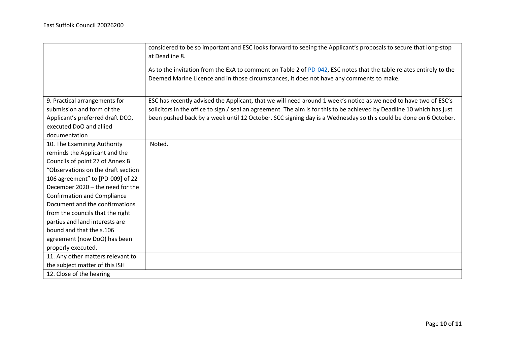|                                    | considered to be so important and ESC looks forward to seeing the Applicant's proposals to secure that long-stop<br>at Deadline 8. |
|------------------------------------|------------------------------------------------------------------------------------------------------------------------------------|
|                                    |                                                                                                                                    |
|                                    | As to the invitation from the ExA to comment on Table 2 of PD-042, ESC notes that the table relates entirely to the                |
|                                    | Deemed Marine Licence and in those circumstances, it does not have any comments to make.                                           |
|                                    |                                                                                                                                    |
| 9. Practical arrangements for      | ESC has recently advised the Applicant, that we will need around 1 week's notice as we need to have two of ESC's                   |
| submission and form of the         | solicitors in the office to sign / seal an agreement. The aim is for this to be achieved by Deadline 10 which has just             |
| Applicant's preferred draft DCO,   | been pushed back by a week until 12 October. SCC signing day is a Wednesday so this could be done on 6 October.                    |
| executed DoO and allied            |                                                                                                                                    |
| documentation                      |                                                                                                                                    |
| 10. The Examining Authority        | Noted.                                                                                                                             |
| reminds the Applicant and the      |                                                                                                                                    |
| Councils of point 27 of Annex B    |                                                                                                                                    |
| "Observations on the draft section |                                                                                                                                    |
| 106 agreement" to [PD-009] of 22   |                                                                                                                                    |
| December 2020 - the need for the   |                                                                                                                                    |
| <b>Confirmation and Compliance</b> |                                                                                                                                    |
| Document and the confirmations     |                                                                                                                                    |
| from the councils that the right   |                                                                                                                                    |
| parties and land interests are     |                                                                                                                                    |
| bound and that the s.106           |                                                                                                                                    |
| agreement (now DoO) has been       |                                                                                                                                    |
| properly executed.                 |                                                                                                                                    |
| 11. Any other matters relevant to  |                                                                                                                                    |
| the subject matter of this ISH     |                                                                                                                                    |
| 12. Close of the hearing           |                                                                                                                                    |